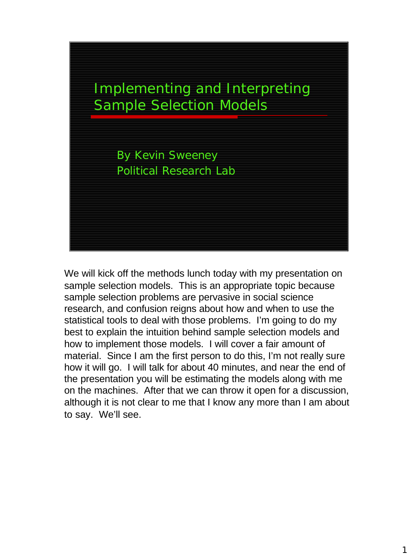

We will kick off the methods lunch today with my presentation on sample selection models. This is an appropriate topic because sample selection problems are pervasive in social science research, and confusion reigns about how and when to use the statistical tools to deal with those problems. I'm going to do my best to explain the intuition behind sample selection models and how to implement those models. I will cover a fair amount of material. Since I am the first person to do this, I'm not really sure how it will go. I will talk for about 40 minutes, and near the end of the presentation you will be estimating the models along with me on the machines. After that we can throw it open for a discussion, although it is not clear to me that I know any more than I am about to say. We'll see.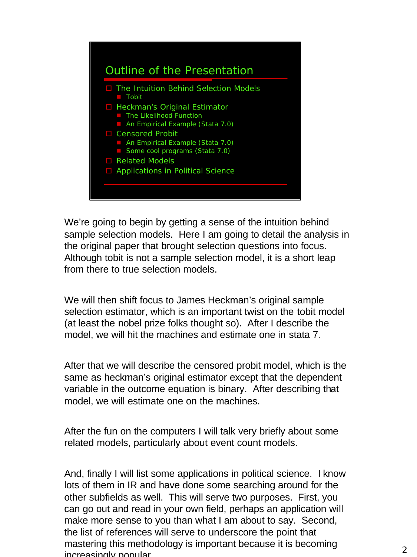

We're going to begin by getting a sense of the intuition behind sample selection models. Here I am going to detail the analysis in the original paper that brought selection questions into focus. Although tobit is not a sample selection model, it is a short leap from there to true selection models.

We will then shift focus to James Heckman's original sample selection estimator, which is an important twist on the tobit model (at least the nobel prize folks thought so). After I describe the model, we will hit the machines and estimate one in stata 7.

After that we will describe the censored probit model, which is the same as heckman's original estimator except that the dependent variable in the outcome equation is binary. After describing that model, we will estimate one on the machines.

After the fun on the computers I will talk very briefly about some related models, particularly about event count models.

And, finally I will list some applications in political science. I know lots of them in IR and have done some searching around for the other subfields as well. This will serve two purposes. First, you can go out and read in your own field, perhaps an application will make more sense to you than what I am about to say. Second, the list of references will serve to underscore the point that mastering this methodology is important because it is becoming increasingly popular.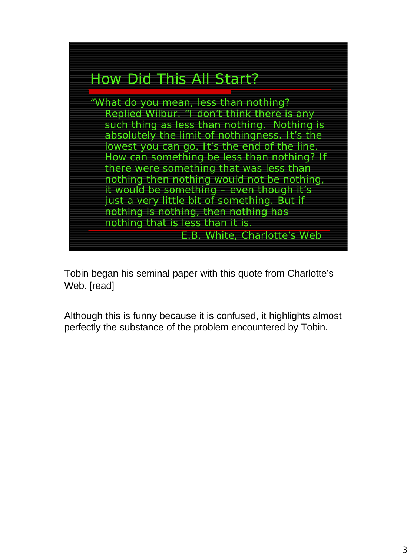

Tobin began his seminal paper with this quote from Charlotte's Web. [read]

Although this is funny because it is confused, it highlights almost perfectly the substance of the problem encountered by Tobin.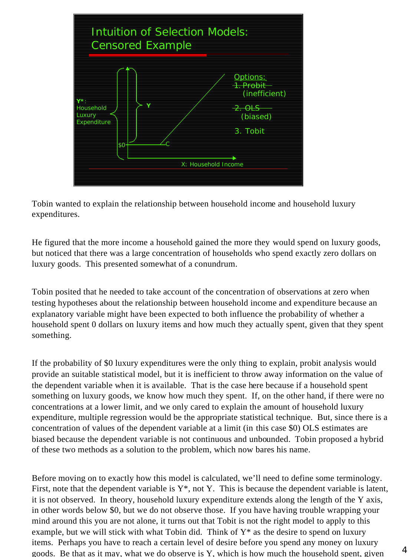

Tobin wanted to explain the relationship between household income and household luxury expenditures.

He figured that the more income a household gained the more they would spend on luxury goods, but noticed that there was a large concentration of households who spend exactly zero dollars on luxury goods. This presented somewhat of a conundrum.

Tobin posited that he needed to take account of the concentration of observations at zero when testing hypotheses about the relationship between household income and expenditure because an explanatory variable might have been expected to both influence the probability of whether a household spent 0 dollars on luxury items and how much they actually spent, given that they spent something.

If the probability of \$0 luxury expenditures were the only thing to explain, probit analysis would provide an suitable statistical model, but it is inefficient to throw away information on the value of the dependent variable when it is available. That is the case here because if a household spent something on luxury goods, we know how much they spent. If, on the other hand, if there were no concentrations at a lower limit, and we only cared to explain the amount of household luxury expenditure, multiple regression would be the appropriate statistical technique. But, since there is a concentration of values of the dependent variable at a limit (in this case \$0) OLS estimates are biased because the dependent variable is not continuous and unbounded. Tobin proposed a hybrid of these two methods as a solution to the problem, which now bares his name.

Before moving on to exactly how this model is calculated, we'll need to define some terminology. First, note that the dependent variable is  $Y^*$ , not Y. This is because the dependent variable is latent, it is not observed. In theory, household luxury expenditure extends along the length of the Y axis, in other words below \$0, but we do not observe those. If you have having trouble wrapping your mind around this you are not alone, it turns out that Tobit is not the right model to apply to this example, but we will stick with what Tobin did. Think of  $Y^*$  as the desire to spend on luxury items. Perhaps you have to reach a certain level of desire before you spend any money on luxury goods. Be that as it may, what we do observe is Y, which is how much the household spent, given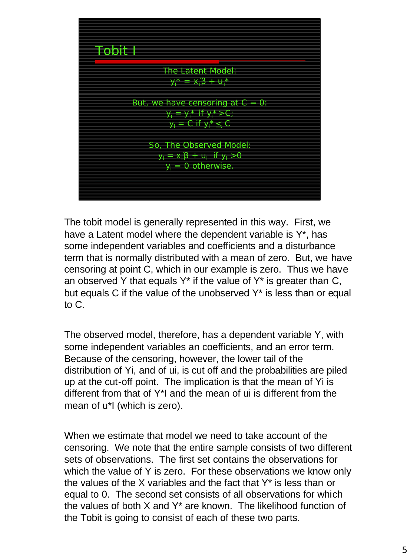

The tobit model is generally represented in this way. First, we have a Latent model where the dependent variable is Y\*, has some independent variables and coefficients and a disturbance term that is normally distributed with a mean of zero. But, we have censoring at point C, which in our example is zero. Thus we have an observed Y that equals  $Y^*$  if the value of  $Y^*$  is greater than C, but equals C if the value of the unobserved Y\* is less than or equal to C.

The observed model, therefore, has a dependent variable Y, with some independent variables an coefficients, and an error term. Because of the censoring, however, the lower tail of the distribution of Yi, and of ui, is cut off and the probabilities are piled up at the cut-off point. The implication is that the mean of Yi is different from that of Y\*I and the mean of ui is different from the mean of u\*I (which is zero).

When we estimate that model we need to take account of the censoring. We note that the entire sample consists of two different sets of observations. The first set contains the observations for which the value of Y is zero. For these observations we know only the values of the X variables and the fact that Y\* is less than or equal to 0. The second set consists of all observations for which the values of both X and Y\* are known. The likelihood function of the Tobit is going to consist of each of these two parts.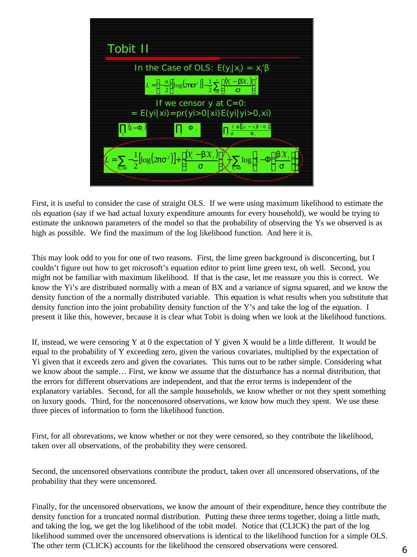

First, it is useful to consider the case of straight OLS. If we were using maximum likelihood to estimate the ols equation (say if we had actual luxury expenditure amounts for every household), we would be trying to estimate the unknown parameters of the model so that the probability of observing the Ys we observed is as high as possible. We find the maximum of the log likelihood function. And here it is.

This may look odd to you for one of two reasons. First, the lime green background is disconcerting, but I couldn't figure out how to get microsoft's equation editor to print lime green text, oh well. Second, you might not be familiar with maximum likelihood. If that is the case, let me reassure you this is correct. We know the Yi's are distributed normally with a mean of BX and a variance of sigma squared, and we know the density function of the a normally distributed variable. This equation is what results when you substitute that density function into the joint probability density function of the Y's and take the log of the equation. I present it like this, however, because it is clear what Tobit is doing when we look at the likelihood functions.

If, instead, we were censoring Y at 0 the expectation of Y given X would be a little different. It would be equal to the probability of Y exceeding zero, given the various covariates, multiplied by the expectation of Yi given that it exceeds zero and given the covariates. This turns out to be rather simple. Considering what we know about the sample… First, we know we assume that the disturbance has a normal distribution, that the errors for different observations are independent, and that the error terms is independent of the explanatory variables. Second, for all the sample households, we know whether or not they spent something on luxury goods. Third, for the noncenosored observations, we know how much they spent. We use these three pieces of information to form the likelihood function.

First, for all obsrevations, we know whether or not they were censored, so they contribute the likelihood, taken over all observations, of the probability they were censored.

Second, the uncensored observations contribute the product, taken over all uncensored observations, of the probability that they were uncensored.

Finally, for the uncensored observations, we know the amount of their expenditure, hence they contribute the density function for a truncated normal distribution. Putting these three terms together, doing a little math, and taking the log, we get the log likelihood of the tobit model. Notice that (CLICK) the part of the log likelihood summed over the uncensored observations is identical to the likelihood function for a simple OLS. The other term (CLICK) accounts for the likelihood the censored observations were censored.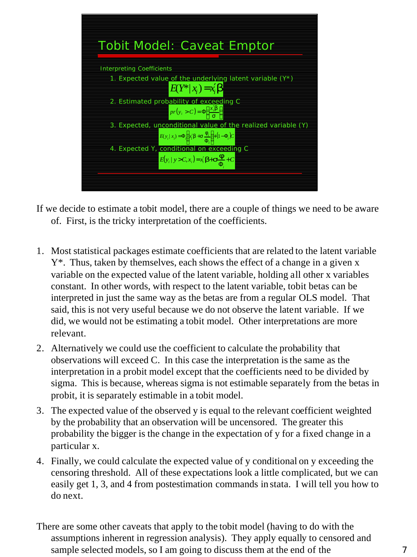

If we decide to estimate a tobit model, there are a couple of things we need to be aware of. First, is the tricky interpretation of the coefficients.

- 1. Most statistical packages estimate coefficients that are related to the latent variable Y\*. Thus, taken by themselves, each shows the effect of a change in a given x variable on the expected value of the latent variable, holding all other x variables constant. In other words, with respect to the latent variable, tobit betas can be interpreted in just the same way as the betas are from a regular OLS model. That said, this is not very useful because we do not observe the latent variable. If we did, we would not be estimating a tobit model. Other interpretations are more relevant.
- 2. Alternatively we could use the coefficient to calculate the probability that observations will exceed C. In this case the interpretation is the same as the interpretation in a probit model except that the coefficients need to be divided by sigma. This is because, whereas sigma is not estimable separately from the betas in probit, it is separately estimable in a tobit model.
- 3. The expected value of the observed y is equal to the relevant coefficient weighted by the probability that an observation will be uncensored. The greater this probability the bigger is the change in the expectation of y for a fixed change in a particular x.
- 4. Finally, we could calculate the expected value of y conditional on y exceeding the censoring threshold. All of these expectations look a little complicated, but we can easily get 1, 3, and 4 from postestimation commands in stata. I will tell you how to do next.
- There are some other caveats that apply to the tobit model (having to do with the assumptions inherent in regression analysis). They apply equally to censored and sample selected models, so I am going to discuss them at the end of the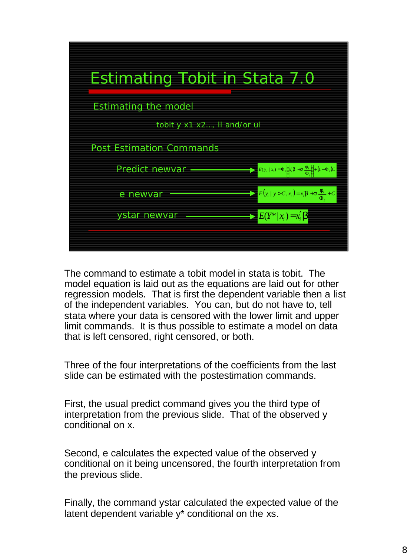

The command to estimate a tobit model in stata is tobit. The model equation is laid out as the equations are laid out for other regression models. That is first the dependent variable then a list of the independent variables. You can, but do not have to, tell stata where your data is censored with the lower limit and upper limit commands. It is thus possible to estimate a model on data that is left censored, right censored, or both.

Three of the four interpretations of the coefficients from the last slide can be estimated with the postestimation commands.

First, the usual predict command gives you the third type of interpretation from the previous slide. That of the observed y conditional on x.

Second, e calculates the expected value of the observed y conditional on it being uncensored, the fourth interpretation from the previous slide.

Finally, the command ystar calculated the expected value of the latent dependent variable  $y^*$  conditional on the xs.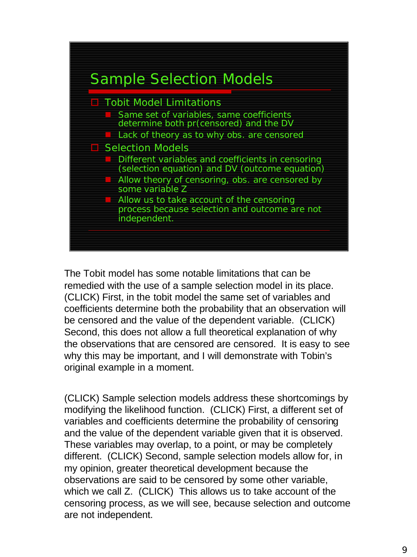

The Tobit model has some notable limitations that can be remedied with the use of a sample selection model in its place. (CLICK) First, in the tobit model the same set of variables and coefficients determine both the probability that an observation will be censored and the value of the dependent variable. (CLICK) Second, this does not allow a full theoretical explanation of why the observations that are censored are censored. It is easy to see why this may be important, and I will demonstrate with Tobin's original example in a moment.

(CLICK) Sample selection models address these shortcomings by modifying the likelihood function. (CLICK) First, a different set of variables and coefficients determine the probability of censoring and the value of the dependent variable given that it is observed. These variables may overlap, to a point, or may be completely different. (CLICK) Second, sample selection models allow for, in my opinion, greater theoretical development because the observations are said to be censored by some other variable, which we call Z. (CLICK) This allows us to take account of the censoring process, as we will see, because selection and outcome are not independent.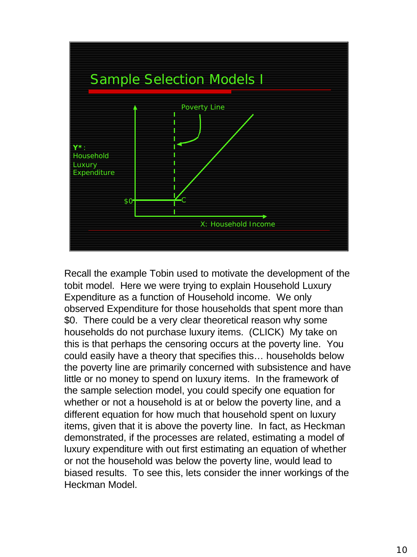

Recall the example Tobin used to motivate the development of the tobit model. Here we were trying to explain Household Luxury Expenditure as a function of Household income. We only observed Expenditure for those households that spent more than \$0. There could be a very clear theoretical reason why some households do not purchase luxury items. (CLICK) My take on this is that perhaps the censoring occurs at the poverty line. You could easily have a theory that specifies this… households below the poverty line are primarily concerned with subsistence and have little or no money to spend on luxury items. In the framework of the sample selection model, you could specify one equation for whether or not a household is at or below the poverty line, and a different equation for how much that household spent on luxury items, given that it is above the poverty line. In fact, as Heckman demonstrated, if the processes are related, estimating a model of luxury expenditure with out first estimating an equation of whether or not the household was below the poverty line, would lead to biased results. To see this, lets consider the inner workings of the Heckman Model.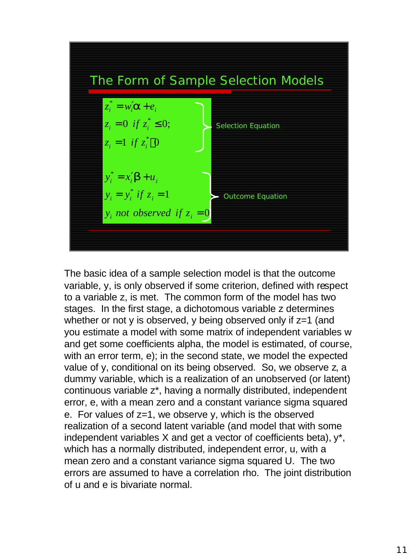

The basic idea of a sample selection model is that the outcome variable, y, is only observed if some criterion, defined with respect to a variable z, is met. The common form of the model has two stages. In the first stage, a dichotomous variable z determines whether or not y is observed, y being observed only if  $z=1$  (and you estimate a model with some matrix of independent variables w and get some coefficients alpha, the model is estimated, of course, with an error term, e); in the second state, we model the expected value of y, conditional on its being observed. So, we observe z, a dummy variable, which is a realization of an unobserved (or latent) continuous variable z\*, having a normally distributed, independent error, e, with a mean zero and a constant variance sigma squared e. For values of z=1, we observe y, which is the observed realization of a second latent variable (and model that with some independent variables X and get a vector of coefficients beta), y\*, which has a normally distributed, independent error, u, with a mean zero and a constant variance sigma squared U. The two errors are assumed to have a correlation rho. The joint distribution of u and e is bivariate normal.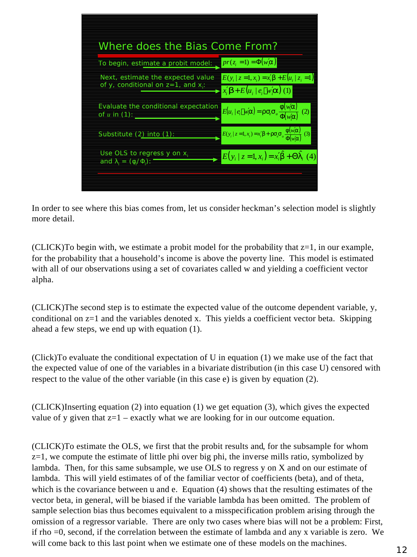

In order to see where this bias comes from, let us consider heckman's selection model is slightly more detail.

(CLICK)To begin with, we estimate a probit model for the probability that z=1, in our example, for the probability that a household's income is above the poverty line. This model is estimated with all of our observations using a set of covariates called w and yielding a coefficient vector alpha.

(CLICK)The second step is to estimate the expected value of the outcome dependent variable, y, conditional on  $z=1$  and the variables denoted x. This yields a coefficient vector beta. Skipping ahead a few steps, we end up with equation (1).

(Click)To evaluate the conditional expectation of U in equation (1) we make use of the fact that the expected value of one of the variables in a bivariate distribution (in this case U) censored with respect to the value of the other variable (in this case e) is given by equation (2).

(CLICK)Inserting equation (2) into equation (1) we get equation (3), which gives the expected value of y given that  $z=1$  – exactly what we are looking for in our outcome equation.

(CLICK)To estimate the OLS, we first that the probit results and, for the subsample for whom  $z=1$ , we compute the estimate of little phi over big phi, the inverse mills ratio, symbolized by lambda. Then, for this same subsample, we use OLS to regress y on X and on our estimate of lambda. This will yield estimates of of the familiar vector of coefficients (beta), and of theta, which is the covariance between u and e. Equation (4) shows that the resulting estimates of the vector beta, in general, will be biased if the variable lambda has been omitted. The problem of sample selection bias thus becomes equivalent to a misspecification problem arising through the omission of a regressor variable. There are only two cases where bias will not be a problem: First, if rho =0, second, if the correlation between the estimate of lambda and any x variable is zero. We will come back to this last point when we estimate one of these models on the machines.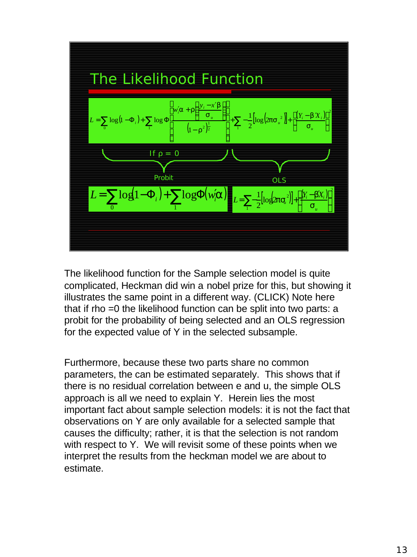

The likelihood function for the Sample selection model is quite complicated, Heckman did win a nobel prize for this, but showing it illustrates the same point in a different way. (CLICK) Note here that if rho =0 the likelihood function can be split into two parts: a probit for the probability of being selected and an OLS regression for the expected value of Y in the selected subsample.

Furthermore, because these two parts share no common parameters, the can be estimated separately. This shows that if there is no residual correlation between e and u, the simple OLS approach is all we need to explain Y. Herein lies the most important fact about sample selection models: it is not the fact that observations on Y are only available for a selected sample that causes the difficulty; rather, it is that the selection is not random with respect to Y. We will revisit some of these points when we interpret the results from the heckman model we are about to estimate.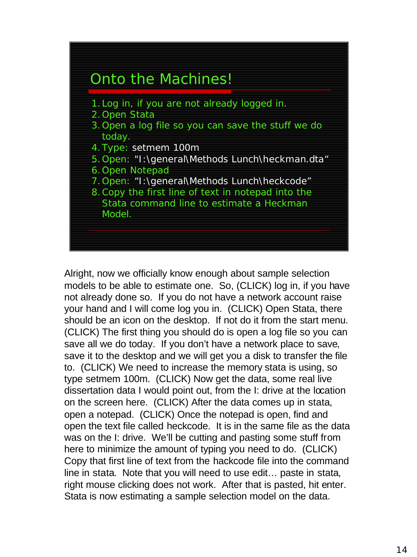

Alright, now we officially know enough about sample selection models to be able to estimate one. So, (CLICK) log in, if you have not already done so. If you do not have a network account raise your hand and I will come log you in. (CLICK) Open Stata, there should be an icon on the desktop. If not do it from the start menu. (CLICK) The first thing you should do is open a log file so you can save all we do today. If you don't have a network place to save, save it to the desktop and we will get you a disk to transfer the file to. (CLICK) We need to increase the memory stata is using, so type setmem 100m. (CLICK) Now get the data, some real live dissertation data I would point out, from the I: drive at the location on the screen here. (CLICK) After the data comes up in stata, open a notepad. (CLICK) Once the notepad is open, find and open the text file called heckcode. It is in the same file as the data was on the I: drive. We'll be cutting and pasting some stuff from here to minimize the amount of typing you need to do. (CLICK) Copy that first line of text from the hackcode file into the command line in stata. Note that you will need to use edit… paste in stata, right mouse clicking does not work. After that is pasted, hit enter. Stata is now estimating a sample selection model on the data.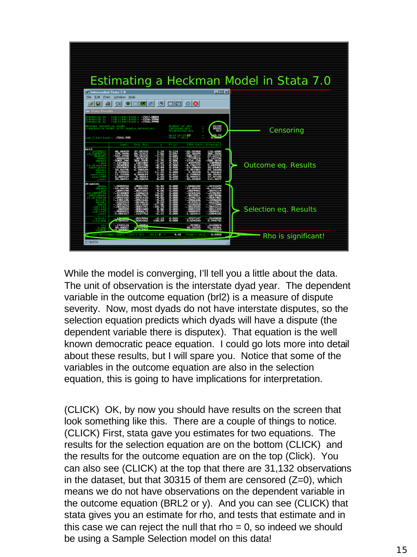| Estimating a Heckman Model in Stata 7.0<br>$-101 \times$<br><b>Intercooled State 7.0</b><br>Edit Frefs Window Help<br><b>Tão</b><br><b>SHEE</b> 3 HE 0 8<br> 84 <br><b>Chain Books</b><br>建築<br>egreenice hocket uith eangle selection)                                                                                                                                                  |                     |
|------------------------------------------------------------------------------------------------------------------------------------------------------------------------------------------------------------------------------------------------------------------------------------------------------------------------------------------------------------------------------------------|---------------------|
|                                                                                                                                                                                                                                                                                                                                                                                          |                     |
|                                                                                                                                                                                                                                                                                                                                                                                          |                     |
|                                                                                                                                                                                                                                                                                                                                                                                          |                     |
|                                                                                                                                                                                                                                                                                                                                                                                          |                     |
| a litelitood - 7016.996                                                                                                                                                                                                                                                                                                                                                                  | Censoring           |
| <b>Beide Erry</b><br>Park and<br><b>1951 Conf. Internet3</b><br>Coat                                                                                                                                                                                                                                                                                                                     |                     |
| betič<br><b>Learne</b><br><b>Line of Co.</b><br>Outcome eq. Results<br><b>BATTLE TOP</b><br><b>ALL 14</b><br>a<br>an trans<br>10.04/MK<br>語<br>6.709360<br><b>San Francis</b><br>妄<br><b>TEMPLE</b><br><b>STARTED</b><br>.431213<br>18.<br>4.1209019<br>11.70000<br>Ð<br>0.720<br>0.039167<br>$-0.0014$<br>17.37130<br><b>ALC STORY</b><br><b>Banda</b><br><b>SM. INVOLT</b><br>111.9677 |                     |
| ali namri am<br>$-.000000016$<br><b>LEGISTING</b><br>$-1.2$ , taung,<br>3L 23BYAN<br><b>LEMISSION</b><br>10011091<br>0021413<br>$-10.1466$<br><b>STATISTICS</b><br>$- \frac{0.0022101}{1.9011100}$<br>-0191134<br>10051616<br>011<br><b>LUIS NO</b><br><b>.</b> more<br>74<br>Selection eq. Results<br>max<br>mme<br>mm<br><b>COTAL</b><br><b>Bankara</b><br>つくちともの                      |                     |
| 1:10<br><b>TANK</b><br><b>STATE</b><br>ぶぶ<br><b>ANTIQUES</b><br><b>COLOR</b>                                                                                                                                                                                                                                                                                                             |                     |
| 0.098<br><b>CREZILI -</b><br>4.41<br>of indept equal (rep = D);<br>CABATA                                                                                                                                                                                                                                                                                                                | Rho is significant! |

While the model is converging, I'll tell you a little about the data. The unit of observation is the interstate dyad year. The dependent variable in the outcome equation (brl2) is a measure of dispute severity. Now, most dyads do not have interstate disputes, so the selection equation predicts which dyads will have a dispute (the dependent variable there is disputex). That equation is the well known democratic peace equation. I could go lots more into detail about these results, but I will spare you. Notice that some of the variables in the outcome equation are also in the selection equation, this is going to have implications for interpretation.

(CLICK) OK, by now you should have results on the screen that look something like this. There are a couple of things to notice. (CLICK) First, stata gave you estimates for two equations. The results for the selection equation are on the bottom (CLICK) and the results for the outcome equation are on the top (Click). You can also see (CLICK) at the top that there are 31,132 observations in the dataset, but that 30315 of them are censored  $(Z=0)$ , which means we do not have observations on the dependent variable in the outcome equation (BRL2 or y). And you can see (CLICK) that stata gives you an estimate for rho, and tests that estimate and in this case we can reject the null that rho  $= 0$ , so indeed we should be using a Sample Selection model on this data!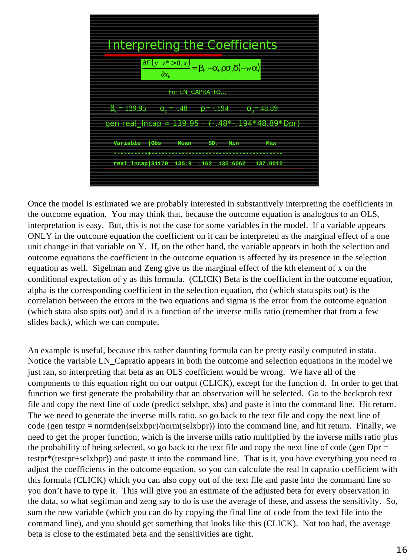| <b>Interpreting the Coefficients</b>                                                                                                                               |
|--------------------------------------------------------------------------------------------------------------------------------------------------------------------|
| $\frac{\partial E(y \overline{z^*} > 0, x)}{\partial x_k} = \boldsymbol{b}_k - \boldsymbol{a}_k \boldsymbol{r} \boldsymbol{s}_u \boldsymbol{d}(-w \boldsymbol{a})$ |
| For LN CAPRATIO                                                                                                                                                    |
| $\beta_k = 139.95$ $\alpha_k = -.48$ $\rho = -.194$ $\sigma_n = 48.89$                                                                                             |
| gen real_Incap = 139.95 - (-.48*-.194*48.89*Dpr)                                                                                                                   |
| Variable Obs<br>Mean<br>Min<br>SD.<br>Max<br>------------------                                                                                                    |
| real_lncap 31170 135.9 .162 135.6062 137.0012                                                                                                                      |

Once the model is estimated we are probably interested in substantively interpreting the coefficients in the outcome equation. You may think that, because the outcome equation is analogous to an OLS, interpretation is easy. But, this is not the case for some variables in the model. If a variable appears ONLY in the outcome equation the coefficient on it can be interpreted as the marginal effect of a one unit change in that variable on Y. If, on the other hand, the variable appears in both the selection and outcome equations the coefficient in the outcome equation is affected by its presence in the selection equation as well. Sigelman and Zeng give us the marginal effect of the kth element of x on the conditional expectation of y as this formula. (CLICK) Beta is the coefficient in the outcome equation, alpha is the corresponding coefficient in the selection equation, rho (which stata spits out) is the correlation between the errors in the two equations and sigma is the error from the outcome equation (which stata also spits out) and d is a function of the inverse mills ratio (remember that from a few slides back), which we can compute.

An example is useful, because this rather daunting formula can be pretty easily computed in stata. Notice the variable LN\_Capratio appears in both the outcome and selection equations in the model we just ran, so interpreting that beta as an OLS coefficient would be wrong. We have all of the components to this equation right on our output (CLICK), except for the function d. In order to get that function we first generate the probability that an observation will be selected. Go to the heckprob text file and copy the next line of code (predict selxbpr, xbs) and paste it into the command line. Hit return. The we need to generate the inverse mills ratio, so go back to the text file and copy the next line of code (gen testpr = normden(selxbpr)/norm(selxbpr)) into the command line, and hit return. Finally, we need to get the proper function, which is the inverse mills ratio multiplied by the inverse mills ratio plus the probability of being selected, so go back to the text file and copy the next line of code (gen  $Dpr =$ testpr\*(testpr+selxbpr)) and paste it into the command line. That is it, you have everything you need to adjust the coefficients in the outcome equation, so you can calculate the real ln capratio coefficient with this formula (CLICK) which you can also copy out of the text file and paste into the command line so you don't have to type it. This will give you an estimate of the adjusted beta for every observation in the data, so what segilman and zeng say to do is use the average of these, and assess the sensitivity. So, sum the new variable (which you can do by copying the final line of code from the text file into the command line), and you should get something that looks like this (CLICK). Not too bad, the average beta is close to the estimated beta and the sensitivities are tight.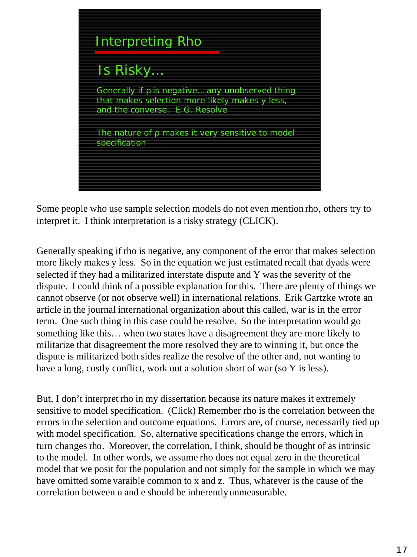

Some people who use sample selection models do not even mention rho, others try to interpret it. I think interpretation is a risky strategy (CLICK).

Generally speaking if rho is negative, any component of the error that makes selection more likely makes y less. So in the equation we just estimated recall that dyads were selected if they had a militarized interstate dispute and Y was the severity of the dispute. I could think of a possible explanation for this. There are plenty of things we cannot observe (or not observe well) in international relations. Erik Gartzke wrote an article in the journal international organization about this called, war is in the error term. One such thing in this case could be resolve. So the interpretation would go something like this… when two states have a disagreement they are more likely to militarize that disagreement the more resolved they are to winning it, but once the dispute is militarized both sides realize the resolve of the other and, not wanting to have a long, costly conflict, work out a solution short of war (so Y is less).

But, I don't interpret rho in my dissertation because its nature makes it extremely sensitive to model specification. (Click) Remember rho is the correlation between the errors in the selection and outcome equations. Errors are, of course, necessarily tied up with model specification. So, alternative specifications change the errors, which in turn changes rho. Moreover, the correlation, I think, should be thought of as intrinsic to the model. In other words, we assume rho does not equal zero in the theoretical model that we posit for the population and not simply for the sample in which we may have omitted some varaible common to x and z. Thus, whatever is the cause of the correlation between u and e should be inherently unmeasurable.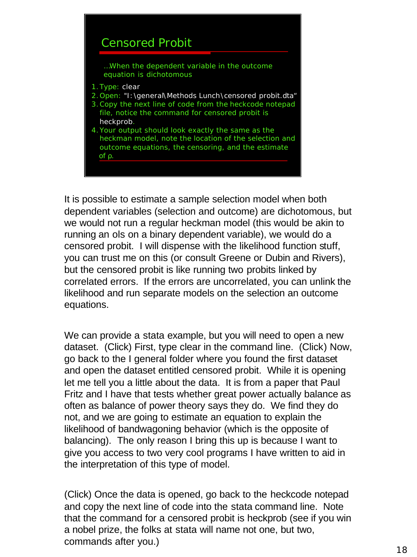

It is possible to estimate a sample selection model when both dependent variables (selection and outcome) are dichotomous, but we would not run a regular heckman model (this would be akin to running an ols on a binary dependent variable), we would do a censored probit. I will dispense with the likelihood function stuff, you can trust me on this (or consult Greene or Dubin and Rivers), but the censored probit is like running two probits linked by correlated errors. If the errors are uncorrelated, you can unlink the likelihood and run separate models on the selection an outcome equations.

We can provide a stata example, but you will need to open a new dataset. (Click) First, type clear in the command line. (Click) Now, go back to the I general folder where you found the first dataset and open the dataset entitled censored probit. While it is opening let me tell you a little about the data. It is from a paper that Paul Fritz and I have that tests whether great power actually balance as often as balance of power theory says they do. We find they do not, and we are going to estimate an equation to explain the likelihood of bandwagoning behavior (which is the opposite of balancing). The only reason I bring this up is because I want to give you access to two very cool programs I have written to aid in the interpretation of this type of model.

(Click) Once the data is opened, go back to the heckcode notepad and copy the next line of code into the stata command line. Note that the command for a censored probit is heckprob (see if you win a nobel prize, the folks at stata will name not one, but two, commands after you.)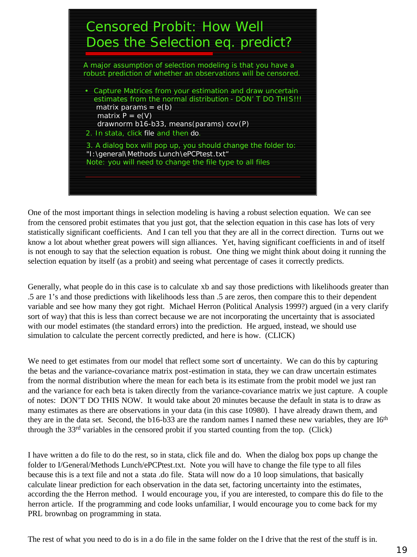

One of the most important things in selection modeling is having a robust selection equation. We can see from the censored probit estimates that you just got, that the selection equation in this case has lots of very statistically significant coefficients. And I can tell you that they are all in the correct direction. Turns out we know a lot about whether great powers will sign alliances. Yet, having significant coefficients in and of itself is not enough to say that the selection equation is robust. One thing we might think about doing it running the selection equation by itself (as a probit) and seeing what percentage of cases it correctly predicts.

Generally, what people do in this case is to calculate xb and say those predictions with likelihoods greater than .5 are 1's and those predictions with likelihoods less than .5 are zeros, then compare this to their dependent variable and see how many they got right. Michael Herron (Political Analysis 1999?) argued (in a very clarify sort of way) that this is less than correct because we are not incorporating the uncertainty that is associated with our model estimates (the standard errors) into the prediction. He argued, instead, we should use simulation to calculate the percent correctly predicted, and here is how. (CLICK)

We need to get estimates from our model that reflect some sort of uncertainty. We can do this by capturing the betas and the variance-covariance matrix post-estimation in stata, they we can draw uncertain estimates from the normal distribution where the mean for each beta is its estimate from the probit model we just ran and the variance for each beta is taken directly from the variance-covariance matrix we just capture. A couple of notes: DON'T DO THIS NOW. It would take about 20 minutes because the default in stata is to draw as many estimates as there are observations in your data (in this case 10980). I have already drawn them, and they are in the data set. Second, the b16-b33 are the random names I named these new variables, they are 16<sup>th</sup> through the 33rd variables in the censored probit if you started counting from the top. (Click)

I have written a do file to do the rest, so in stata, click file and do. When the dialog box pops up change the folder to I/General/Methods Lunch/ePCPtest.txt. Note you will have to change the file type to all files because this is a text file and not a stata .do file. Stata will now do a 10 loop simulations, that basically calculate linear prediction for each observation in the data set, factoring uncertainty into the estimates, according the the Herron method. I would encourage you, if you are interested, to compare this do file to the herron article. If the programming and code looks unfamiliar, I would encourage you to come back for my PRL brownbag on programming in stata.

The rest of what you need to do is in a do file in the same folder on the I drive that the rest of the stuff is in.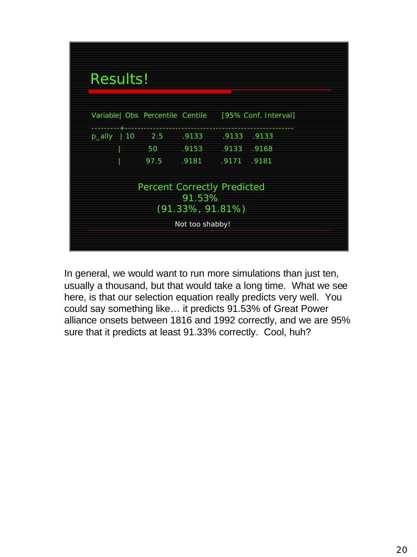

In general, we would want to run more simulations than just ten, usually a thousand, but that would take a long time. What we see here, is that our selection equation really predicts very well. You could say something like… it predicts 91.53% of Great Power alliance onsets between 1816 and 1992 correctly, and we are 95% sure that it predicts at least 91.33% correctly. Cool, huh?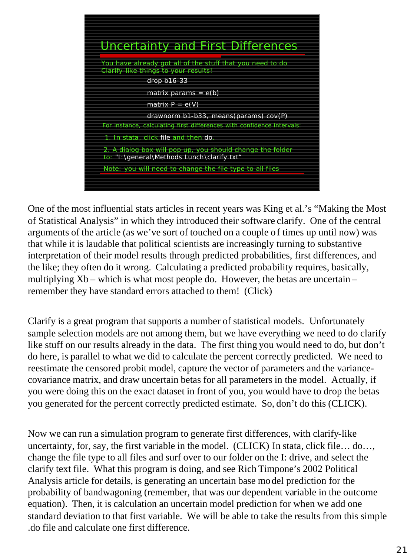

One of the most influential stats articles in recent years was King et al.'s "Making the Most of Statistical Analysis" in which they introduced their software clarify. One of the central arguments of the article (as we've sort of touched on a couple of times up until now) was that while it is laudable that political scientists are increasingly turning to substantive interpretation of their model results through predicted probabilities, first differences, and the like; they often do it wrong. Calculating a predicted probability requires, basically, multiplying Xb – which is what most people do. However, the betas are uncertain – remember they have standard errors attached to them! (Click)

Clarify is a great program that supports a number of statistical models. Unfortunately sample selection models are not among them, but we have everything we need to do clarify like stuff on our results already in the data. The first thing you would need to do, but don't do here, is parallel to what we did to calculate the percent correctly predicted. We need to reestimate the censored probit model, capture the vector of parameters and the variancecovariance matrix, and draw uncertain betas for all parameters in the model. Actually, if you were doing this on the exact dataset in front of you, you would have to drop the betas you generated for the percent correctly predicted estimate. So, don't do this (CLICK).

Now we can run a simulation program to generate first differences, with clarify-like uncertainty, for, say, the first variable in the model. (CLICK) In stata, click file… do…, change the file type to all files and surf over to our folder on the I: drive, and select the clarify text file. What this program is doing, and see Rich Timpone's 2002 Political Analysis article for details, is generating an uncertain base model prediction for the probability of bandwagoning (remember, that was our dependent variable in the outcome equation). Then, it is calculation an uncertain model prediction for when we add one standard deviation to that first variable. We will be able to take the results from this simple .do file and calculate one first difference.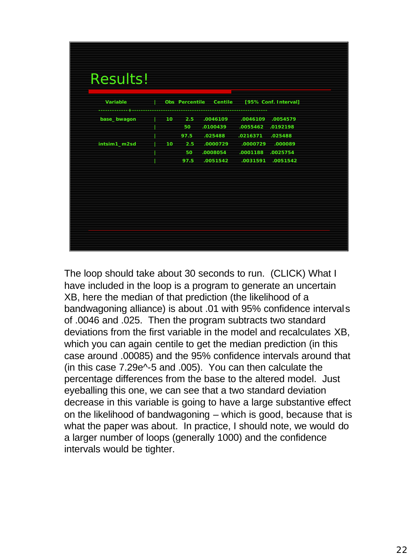| .0046109<br>.0046109<br>10<br>2.5<br>base_bwagon<br>50<br>.0100439<br>.025488<br>97.5<br>.0216371<br>intsim1_m2sd<br>10<br>.0000729<br>.0000729<br>2.5<br>.0008054<br>50<br>97.5<br>.0051542 |  |  | .025488 | .0054579<br>.0055462 .0192198<br>.000089<br>.0001188 .0025754<br>.0031591 .0051542 |
|----------------------------------------------------------------------------------------------------------------------------------------------------------------------------------------------|--|--|---------|------------------------------------------------------------------------------------|
|                                                                                                                                                                                              |  |  |         |                                                                                    |
|                                                                                                                                                                                              |  |  |         |                                                                                    |
|                                                                                                                                                                                              |  |  |         |                                                                                    |
|                                                                                                                                                                                              |  |  |         |                                                                                    |
|                                                                                                                                                                                              |  |  |         |                                                                                    |
|                                                                                                                                                                                              |  |  |         |                                                                                    |
|                                                                                                                                                                                              |  |  |         |                                                                                    |
|                                                                                                                                                                                              |  |  |         |                                                                                    |
|                                                                                                                                                                                              |  |  |         |                                                                                    |
|                                                                                                                                                                                              |  |  |         |                                                                                    |
|                                                                                                                                                                                              |  |  |         |                                                                                    |
|                                                                                                                                                                                              |  |  |         |                                                                                    |

The loop should take about 30 seconds to run. (CLICK) What I have included in the loop is a program to generate an uncertain XB, here the median of that prediction (the likelihood of a bandwagoning alliance) is about .01 with 95% confidence intervals of .0046 and .025. Then the program subtracts two standard deviations from the first variable in the model and recalculates XB, which you can again centile to get the median prediction (in this case around .00085) and the 95% confidence intervals around that (in this case 7.29e^-5 and .005). You can then calculate the percentage differences from the base to the altered model. Just eyeballing this one, we can see that a two standard deviation decrease in this variable is going to have a large substantive effect on the likelihood of bandwagoning – which is good, because that is what the paper was about. In practice, I should note, we would do a larger number of loops (generally 1000) and the confidence intervals would be tighter.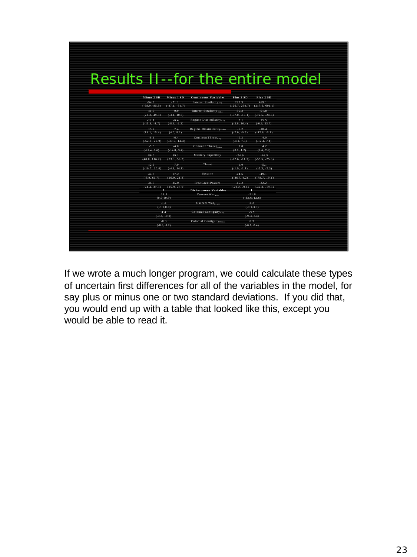| Results II--for the entire model |                                           |                                                                       |                                                          |                                      |                                             |  |
|----------------------------------|-------------------------------------------|-----------------------------------------------------------------------|----------------------------------------------------------|--------------------------------------|---------------------------------------------|--|
|                                  | Minus 2 SD<br>$-94.9$<br>$(-98.9, -85.5)$ | Minus 1 SD<br>$-71.1$<br>$(-87.1, -51.7)$                             | <b>Continuous Variables</b><br>Interest Similarity any   | Plus 1 SD<br>220.3<br>(126.7, 259.7) | Plus 2 SD<br>469.1<br>(217.6, 691.1)        |  |
|                                  | 41.5<br>(23.3, 49.3)                      | $9.9 -$<br>$(-3.1, 10.0)$                                             | Interest Similarity <sub>Other</sub>                     | $-35.2$<br>$(-57.0, -16.1)$          | $-51.0$<br>$(-72.5, -24.6)$                 |  |
|                                  | $-12.1$<br>$(-15.3, -4.7)$                | $-6.4$<br>$(-8.3, -2.2)$                                              | Regime Dissimilarity <sub>Ally</sub>                     | 7.1<br>$(-2.9, 10.4)$                | 15.5<br>$(-0.6, 23.7)$                      |  |
|                                  | 15.2<br>(13.1, 15.4)                      | 7.4<br>(4.0, 8.1)                                                     | Regime Dissimilarityoner                                 | $-6.2$<br>$(-7.0, -0.5)$             | $-10.4$<br>$(-12.6, -0.1)$                  |  |
|                                  | $-9.1$<br>$(-52.0, 29.9)$                 | $-6.4$<br>$(-39.6, 14.4)$                                             | Common Threat <sub>ano</sub>                             | $-0.2$<br>$(-4.1, 7.5)$              | 4.0<br>$(-12.4, 7.4)$                       |  |
|                                  | $-5.9$<br>$(-21.4, 6.6)$                  | $-4.0$<br>$(-14.0, 3.4)$                                              | Common Threatener.                                       | 0.8<br>(0.2, 1.2)                    | 4.2<br>(2.6, 7.6)                           |  |
|                                  | 86.0<br>(48.0, 116.2)                     | $39+$<br>(23.1, 56.2)                                                 | Military Capability                                      | $-24.9$<br>$(-27.6, -11.7)$          | $-46.5$<br>$(-55.5, -25.3)$                 |  |
|                                  | $12.9 -$<br>$(-10.7, 30.0)$               | 7.0<br>$(-4.8, 14.1)$                                                 | Threat                                                   | $-1.0$<br>$(-1.9, -1.1)$             | $-5.1$<br>$(-5.3, -2.3)$                    |  |
|                                  | 44.8<br>$(-8.9, 66.7)$                    | 17.2<br>(16.9, 21.8)                                                  | Security                                                 | $-24.6$<br>$(-46.7, 4.2)$            | $-49.1$<br>$(-78.7, 19.1)$                  |  |
|                                  | 36.5                                      | 25.0<br>$(24.4, 37.3)$ $(15.9, 25.9)$<br>$\ddot{\boldsymbol{\theta}}$ | <b>Free Great Powers</b><br><b>Dichotomous Variables</b> | $-16.2$<br>т                         | $-32.2$<br>$(-22.2, -9.6)$ $(-42.3, -19.8)$ |  |
|                                  |                                           | 18.3<br>(9.0, 19.9)                                                   | Current War <sub>Ally</sub>                              |                                      | $-21.8$<br>$(-33.6,-12.6)$                  |  |
|                                  |                                           | -1.1<br>$(-3.1, 0.0)$                                                 | Current War <sub>nanz</sub>                              |                                      | $2.2 -$<br>$(-0.1, 3.3)$                    |  |
|                                  |                                           | 4.4<br>$(-3.3, 10.0)$                                                 | Colonial Contiguity <sub>an</sub>                        |                                      | $-3.5$<br>$(-9.3, 3.4)$                     |  |
|                                  |                                           | $-0.3$<br>$(-0.6, 0.2)$                                               | Colonial Contiguity <sub>outer</sub>                     | 0.3                                  | $(-0.1, 0.4)$                               |  |
|                                  |                                           |                                                                       |                                                          |                                      |                                             |  |
|                                  |                                           |                                                                       |                                                          |                                      |                                             |  |

If we wrote a much longer program, we could calculate these types of uncertain first differences for all of the variables in the model, for say plus or minus one or two standard deviations. If you did that, you would end up with a table that looked like this, except you would be able to read it.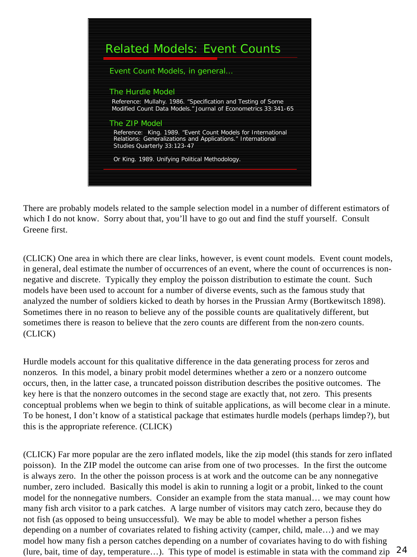

There are probably models related to the sample selection model in a number of different estimators of which I do not know. Sorry about that, you'll have to go out and find the stuff yourself. Consult Greene first.

(CLICK) One area in which there are clear links, however, is event count models. Event count models, in general, deal estimate the number of occurrences of an event, where the count of occurrences is nonnegative and discrete. Typically they employ the poisson distribution to estimate the count. Such models have been used to account for a number of diverse events, such as the famous study that analyzed the number of soldiers kicked to death by horses in the Prussian Army (Bortkewitsch 1898). Sometimes there in no reason to believe any of the possible counts are qualitatively different, but sometimes there is reason to believe that the zero counts are different from the non-zero counts. (CLICK)

Hurdle models account for this qualitative difference in the data generating process for zeros and nonzeros. In this model, a binary probit model determines whether a zero or a nonzero outcome occurs, then, in the latter case, a truncated poisson distribution describes the positive outcomes. The key here is that the nonzero outcomes in the second stage are exactly that, not zero. This presents conceptual problems when we begin to think of suitable applications, as will become clear in a minute. To be honest, I don't know of a statistical package that estimates hurdle models (perhaps limdep?), but this is the appropriate reference. (CLICK)

(lure, bait, time of day, temperature...). This type of model is estimable in stata with the command zip  $24$ (CLICK) Far more popular are the zero inflated models, like the zip model (this stands for zero inflated poisson). In the ZIP model the outcome can arise from one of two processes. In the first the outcome is always zero. In the other the poisson process is at work and the outcome can be any nonnegative number, zero included. Basically this model is akin to running a logit or a probit, linked to the count model for the nonnegative numbers. Consider an example from the stata manual… we may count how many fish arch visitor to a park catches. A large number of visitors may catch zero, because they do not fish (as opposed to being unsuccessful). We may be able to model whether a person fishes depending on a number of covariates related to fishing activity (camper, child, male…) and we may model how many fish a person catches depending on a number of covariates having to do with fishing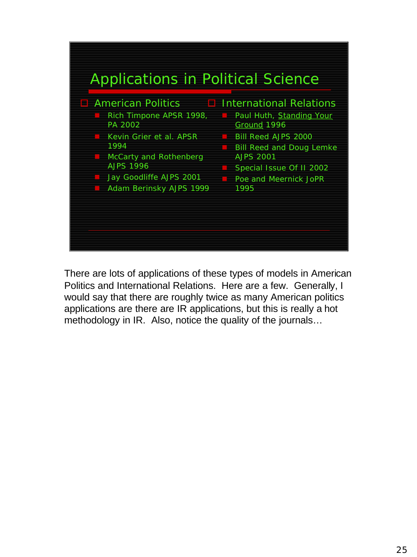

There are lots of applications of these types of models in American Politics and International Relations. Here are a few. Generally, I would say that there are roughly twice as many American politics applications are there are IR applications, but this is really a hot methodology in IR. Also, notice the quality of the journals…